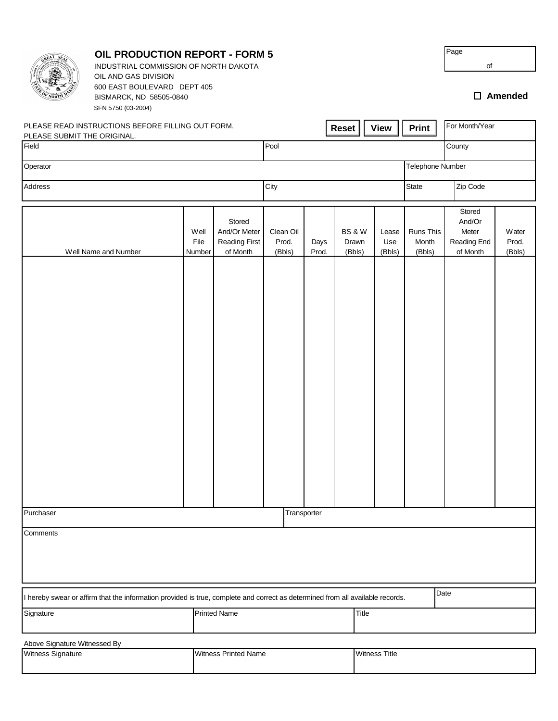|                                                                                                                                | <b>OIL PRODUCTION REPORT - FORM 5</b><br>INDUSTRIAL COMMISSION OF NORTH DAKOTA<br>OIL AND GAS DIVISION |                        |                                                            |                              |               |                                      |  |                        |                              | Page<br>of                                           |                          |  |
|--------------------------------------------------------------------------------------------------------------------------------|--------------------------------------------------------------------------------------------------------|------------------------|------------------------------------------------------------|------------------------------|---------------|--------------------------------------|--|------------------------|------------------------------|------------------------------------------------------|--------------------------|--|
|                                                                                                                                | 600 EAST BOULEVARD DEPT 405<br>BISMARCK, ND 58505-0840<br>SFN 5750 (03-2004)                           |                        |                                                            |                              |               |                                      |  |                        |                              |                                                      | $\square$ Amended        |  |
| PLEASE SUBMIT THE ORIGINAL.                                                                                                    | PLEASE READ INSTRUCTIONS BEFORE FILLING OUT FORM.                                                      |                        |                                                            |                              |               | <b>Reset</b>                         |  | <b>View</b>            | Print                        | For Month/Year                                       |                          |  |
| Field                                                                                                                          |                                                                                                        |                        |                                                            | Pool                         |               |                                      |  |                        |                              | County                                               |                          |  |
| Operator                                                                                                                       |                                                                                                        |                        |                                                            |                              |               |                                      |  |                        | Telephone Number             |                                                      |                          |  |
| Address                                                                                                                        |                                                                                                        |                        | City                                                       |                              |               |                                      |  | Zip Code<br>State      |                              |                                                      |                          |  |
|                                                                                                                                | Well Name and Number                                                                                   | Well<br>File<br>Number | Stored<br>And/Or Meter<br><b>Reading First</b><br>of Month | Clean Oil<br>Prod.<br>(Bbls) | Days<br>Prod. | <b>BS &amp; W</b><br>Drawn<br>(Bbls) |  | Lease<br>Use<br>(Bbls) | Runs This<br>Month<br>(Bbls) | Stored<br>And/Or<br>Meter<br>Reading End<br>of Month | Water<br>Prod.<br>(Bbls) |  |
|                                                                                                                                |                                                                                                        |                        |                                                            |                              |               |                                      |  |                        |                              |                                                      |                          |  |
|                                                                                                                                |                                                                                                        |                        |                                                            |                              |               |                                      |  |                        |                              |                                                      |                          |  |
|                                                                                                                                |                                                                                                        |                        |                                                            |                              |               |                                      |  |                        |                              |                                                      |                          |  |
|                                                                                                                                |                                                                                                        |                        |                                                            |                              |               |                                      |  |                        |                              |                                                      |                          |  |
|                                                                                                                                |                                                                                                        |                        |                                                            |                              |               |                                      |  |                        |                              |                                                      |                          |  |
|                                                                                                                                |                                                                                                        |                        |                                                            |                              |               |                                      |  |                        |                              |                                                      |                          |  |
|                                                                                                                                |                                                                                                        |                        |                                                            |                              |               |                                      |  |                        |                              |                                                      |                          |  |
|                                                                                                                                |                                                                                                        |                        |                                                            |                              |               |                                      |  |                        |                              |                                                      |                          |  |
| Purchaser<br>Transporter                                                                                                       |                                                                                                        |                        |                                                            |                              |               |                                      |  |                        |                              |                                                      |                          |  |
| Comments                                                                                                                       |                                                                                                        |                        |                                                            |                              |               |                                      |  |                        |                              |                                                      |                          |  |
|                                                                                                                                |                                                                                                        |                        |                                                            |                              |               |                                      |  |                        |                              |                                                      |                          |  |
| I hereby swear or affirm that the information provided is true, complete and correct as determined from all available records. |                                                                                                        |                        |                                                            |                              |               |                                      |  |                        |                              | Date                                                 |                          |  |
| Signature                                                                                                                      | <b>Printed Name</b>                                                                                    |                        |                                                            |                              | Title         |                                      |  |                        |                              |                                                      |                          |  |
| Above Signature Witnessed By                                                                                                   |                                                                                                        |                        |                                                            |                              |               |                                      |  |                        |                              |                                                      |                          |  |
| Witness Signature<br><b>Witness Printed Name</b>                                                                               |                                                                                                        |                        |                                                            |                              |               | <b>Witness Title</b>                 |  |                        |                              |                                                      |                          |  |